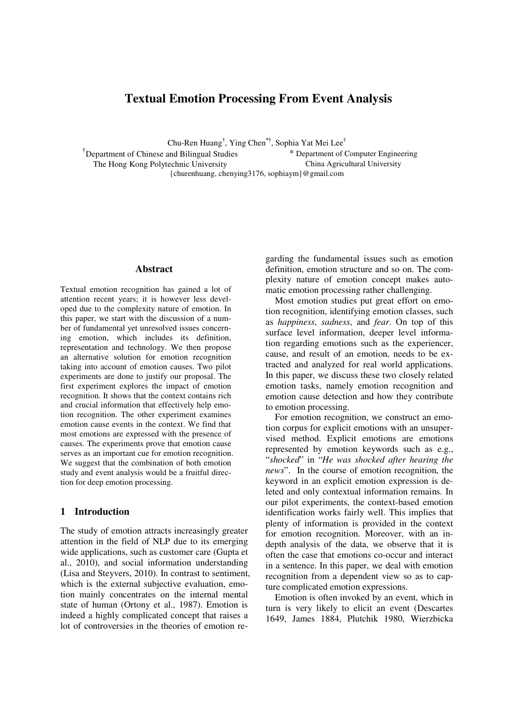# **Textual Emotion Processing From Event Analysis**

Chu-Ren Huang**†** , Ying Chen**\*†**, Sophia Yat Mei Lee**†** <sup>†</sup>Department of Chinese and Bilingual Studies \* \* Department of Computer Engineering The Hong Kong Polytechnic University China Agricultural University {churenhuang, chenying3176, sophiaym}@gmail.com

#### **Abstract**

Textual emotion recognition has gained a lot of attention recent years; it is however less developed due to the complexity nature of emotion. In this paper, we start with the discussion of a number of fundamental yet unresolved issues concerning emotion, which includes its definition, representation and technology. We then propose an alternative solution for emotion recognition taking into account of emotion causes. Two pilot experiments are done to justify our proposal. The first experiment explores the impact of emotion recognition. It shows that the context contains rich and crucial information that effectively help emotion recognition. The other experiment examines emotion cause events in the context. We find that most emotions are expressed with the presence of causes. The experiments prove that emotion cause serves as an important cue for emotion recognition. We suggest that the combination of both emotion study and event analysis would be a fruitful direction for deep emotion processing.

#### **1 Introduction**

The study of emotion attracts increasingly greater attention in the field of NLP due to its emerging wide applications, such as customer care (Gupta et al., 2010), and social information understanding (Lisa and Steyvers, 2010). In contrast to sentiment, which is the external subjective evaluation, emotion mainly concentrates on the internal mental state of human (Ortony et al., 1987). Emotion is indeed a highly complicated concept that raises a lot of controversies in the theories of emotion regarding the fundamental issues such as emotion definition, emotion structure and so on. The complexity nature of emotion concept makes automatic emotion processing rather challenging.

Most emotion studies put great effort on emotion recognition, identifying emotion classes, such as *happiness*, *sadness*, and *fear*. On top of this surface level information, deeper level information regarding emotions such as the experiencer, cause, and result of an emotion, needs to be extracted and analyzed for real world applications. In this paper, we discuss these two closely related emotion tasks, namely emotion recognition and emotion cause detection and how they contribute to emotion processing.

For emotion recognition, we construct an emotion corpus for explicit emotions with an unsupervised method. Explicit emotions are emotions represented by emotion keywords such as e.g., "*shocked*" in "*He was shocked after hearing the news*". In the course of emotion recognition, the keyword in an explicit emotion expression is deleted and only contextual information remains. In our pilot experiments, the context-based emotion identification works fairly well. This implies that plenty of information is provided in the context for emotion recognition. Moreover, with an indepth analysis of the data, we observe that it is often the case that emotions co-occur and interact in a sentence. In this paper, we deal with emotion recognition from a dependent view so as to capture complicated emotion expressions.

Emotion is often invoked by an event, which in turn is very likely to elicit an event (Descartes 1649, James 1884, Plutchik 1980, Wierzbicka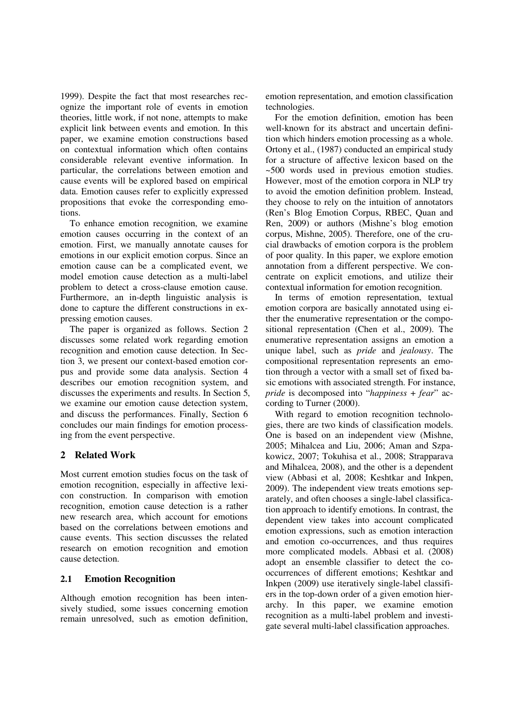1999). Despite the fact that most researches recognize the important role of events in emotion theories, little work, if not none, attempts to make explicit link between events and emotion. In this paper, we examine emotion constructions based on contextual information which often contains considerable relevant eventive information. In particular, the correlations between emotion and cause events will be explored based on empirical data. Emotion causes refer to explicitly expressed propositions that evoke the corresponding emotions.

To enhance emotion recognition, we examine emotion causes occurring in the context of an emotion. First, we manually annotate causes for emotions in our explicit emotion corpus. Since an emotion cause can be a complicated event, we model emotion cause detection as a multi-label problem to detect a cross-clause emotion cause. Furthermore, an in-depth linguistic analysis is done to capture the different constructions in expressing emotion causes.

The paper is organized as follows. Section 2 discusses some related work regarding emotion recognition and emotion cause detection. In Section 3, we present our context-based emotion corpus and provide some data analysis. Section 4 describes our emotion recognition system, and discusses the experiments and results. In Section 5, we examine our emotion cause detection system, and discuss the performances. Finally, Section 6 concludes our main findings for emotion processing from the event perspective.

## **2 Related Work**

Most current emotion studies focus on the task of emotion recognition, especially in affective lexicon construction. In comparison with emotion recognition, emotion cause detection is a rather new research area, which account for emotions based on the correlations between emotions and cause events. This section discusses the related research on emotion recognition and emotion cause detection.

#### **2.1 Emotion Recognition**

Although emotion recognition has been intensively studied, some issues concerning emotion remain unresolved, such as emotion definition, emotion representation, and emotion classification technologies.

For the emotion definition, emotion has been well-known for its abstract and uncertain definition which hinders emotion processing as a whole. Ortony et al., (1987) conducted an empirical study for a structure of affective lexicon based on the ~500 words used in previous emotion studies. However, most of the emotion corpora in NLP try to avoid the emotion definition problem. Instead, they choose to rely on the intuition of annotators (Ren's Blog Emotion Corpus, RBEC, Quan and Ren, 2009) or authors (Mishne's blog emotion corpus, Mishne, 2005). Therefore, one of the crucial drawbacks of emotion corpora is the problem of poor quality. In this paper, we explore emotion annotation from a different perspective. We concentrate on explicit emotions, and utilize their contextual information for emotion recognition.

In terms of emotion representation, textual emotion corpora are basically annotated using either the enumerative representation or the compositional representation (Chen et al., 2009). The enumerative representation assigns an emotion a unique label, such as *pride* and *jealousy*. The compositional representation represents an emotion through a vector with a small set of fixed basic emotions with associated strength. For instance, *pride* is decomposed into "*happiness* + *fear*" according to Turner (2000).

With regard to emotion recognition technologies, there are two kinds of classification models. One is based on an independent view (Mishne, 2005; Mihalcea and Liu, 2006; Aman and Szpakowicz, 2007; Tokuhisa et al., 2008; Strapparava and Mihalcea, 2008), and the other is a dependent view (Abbasi et al, 2008; Keshtkar and Inkpen, 2009). The independent view treats emotions separately, and often chooses a single-label classification approach to identify emotions. In contrast, the dependent view takes into account complicated emotion expressions, such as emotion interaction and emotion co-occurrences, and thus requires more complicated models. Abbasi et al. (2008) adopt an ensemble classifier to detect the cooccurrences of different emotions; Keshtkar and Inkpen (2009) use iteratively single-label classifiers in the top-down order of a given emotion hierarchy. In this paper, we examine emotion recognition as a multi-label problem and investigate several multi-label classification approaches.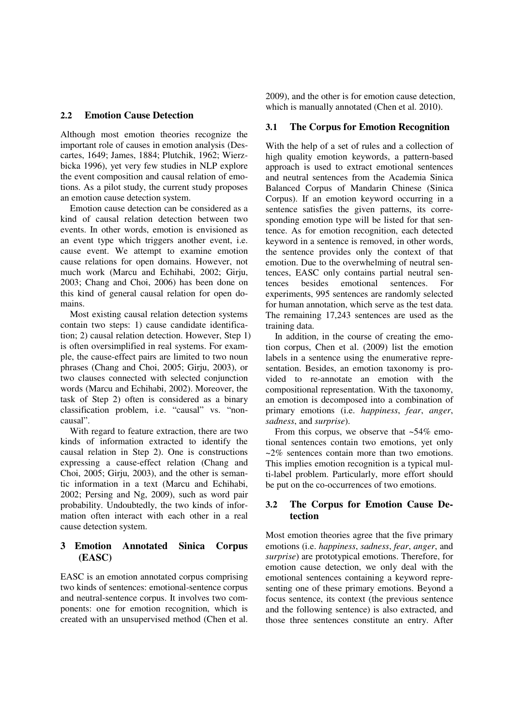#### **2.2 Emotion Cause Detection**

Although most emotion theories recognize the important role of causes in emotion analysis (Descartes, 1649; James, 1884; Plutchik, 1962; Wierzbicka 1996), yet very few studies in NLP explore the event composition and causal relation of emotions. As a pilot study, the current study proposes an emotion cause detection system.

Emotion cause detection can be considered as a kind of causal relation detection between two events. In other words, emotion is envisioned as an event type which triggers another event, i.e. cause event. We attempt to examine emotion cause relations for open domains. However, not much work (Marcu and Echihabi, 2002; Girju, 2003; Chang and Choi, 2006) has been done on this kind of general causal relation for open domains.

Most existing causal relation detection systems contain two steps: 1) cause candidate identification; 2) causal relation detection. However, Step 1) is often oversimplified in real systems. For example, the cause-effect pairs are limited to two noun phrases (Chang and Choi, 2005; Girju, 2003), or two clauses connected with selected conjunction words (Marcu and Echihabi, 2002). Moreover, the task of Step 2) often is considered as a binary classification problem, i.e. "causal" vs. "noncausal".

With regard to feature extraction, there are two kinds of information extracted to identify the causal relation in Step 2). One is constructions expressing a cause-effect relation (Chang and Choi, 2005; Girju, 2003), and the other is semantic information in a text (Marcu and Echihabi, 2002; Persing and Ng, 2009), such as word pair probability. Undoubtedly, the two kinds of information often interact with each other in a real cause detection system.

### **3 Emotion Annotated Sinica Corpus (EASC)**

EASC is an emotion annotated corpus comprising two kinds of sentences: emotional-sentence corpus and neutral-sentence corpus. It involves two components: one for emotion recognition, which is created with an unsupervised method (Chen et al. 2009), and the other is for emotion cause detection, which is manually annotated (Chen et al. 2010).

#### **3.1 The Corpus for Emotion Recognition**

With the help of a set of rules and a collection of high quality emotion keywords, a pattern-based approach is used to extract emotional sentences and neutral sentences from the Academia Sinica Balanced Corpus of Mandarin Chinese (Sinica Corpus). If an emotion keyword occurring in a sentence satisfies the given patterns, its corresponding emotion type will be listed for that sentence. As for emotion recognition, each detected keyword in a sentence is removed, in other words, the sentence provides only the context of that emotion. Due to the overwhelming of neutral sentences, EASC only contains partial neutral sentences besides emotional sentences. For experiments, 995 sentences are randomly selected for human annotation, which serve as the test data. The remaining 17,243 sentences are used as the training data.

In addition, in the course of creating the emotion corpus, Chen et al. (2009) list the emotion labels in a sentence using the enumerative representation. Besides, an emotion taxonomy is provided to re-annotate an emotion with the compositional representation. With the taxonomy, an emotion is decomposed into a combination of primary emotions (i.e. *happiness*, *fear*, *anger*, *sadness*, and *surprise*).

From this corpus, we observe that  $\sim 54\%$  emotional sentences contain two emotions, yet only ~2% sentences contain more than two emotions. This implies emotion recognition is a typical multi-label problem. Particularly, more effort should be put on the co-occurrences of two emotions.

### **3.2 The Corpus for Emotion Cause Detection**

Most emotion theories agree that the five primary emotions (i.e. *happiness*, *sadness*, *fear*, *anger*, and *surprise*) are prototypical emotions. Therefore, for emotion cause detection, we only deal with the emotional sentences containing a keyword representing one of these primary emotions. Beyond a focus sentence, its context (the previous sentence and the following sentence) is also extracted, and those three sentences constitute an entry. After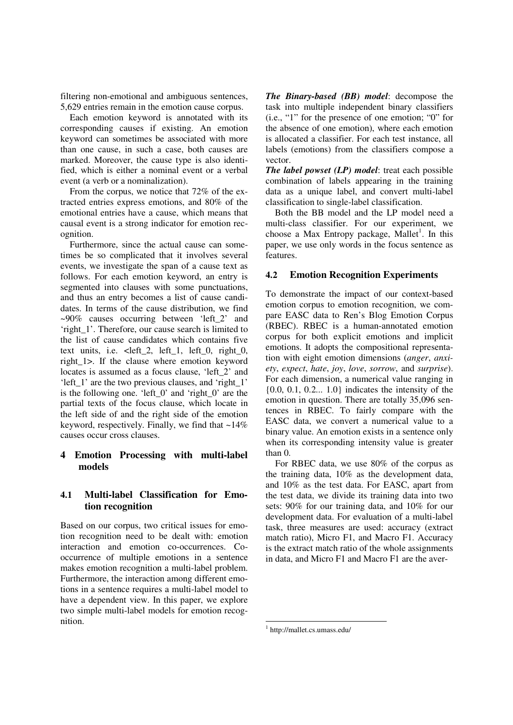filtering non-emotional and ambiguous sentences, 5,629 entries remain in the emotion cause corpus.

Each emotion keyword is annotated with its corresponding causes if existing. An emotion keyword can sometimes be associated with more than one cause, in such a case, both causes are marked. Moreover, the cause type is also identified, which is either a nominal event or a verbal event (a verb or a nominalization).

From the corpus, we notice that 72% of the extracted entries express emotions, and 80% of the emotional entries have a cause, which means that causal event is a strong indicator for emotion recognition.

Furthermore, since the actual cause can sometimes be so complicated that it involves several events, we investigate the span of a cause text as follows. For each emotion keyword, an entry is segmented into clauses with some punctuations, and thus an entry becomes a list of cause candidates. In terms of the cause distribution, we find  $~10\%$  causes occurring between 'left 2' and 'right 1'. Therefore, our cause search is limited to the list of cause candidates which contains five text units, i.e.  $\leq$  left\_2, left\_1, left\_0, right\_0, right\_1>. If the clause where emotion keyword locates is assumed as a focus clause, 'left 2' and 'left\_1' are the two previous clauses, and 'right\_1' is the following one. 'left  $0'$  and 'right  $0'$  are the partial texts of the focus clause, which locate in the left side of and the right side of the emotion keyword, respectively. Finally, we find that  $\sim$ 14% causes occur cross clauses.

### **4 Emotion Processing with multi-label models**

### **4.1 Multi-label Classification for Emotion recognition**

Based on our corpus, two critical issues for emotion recognition need to be dealt with: emotion interaction and emotion co-occurrences. Cooccurrence of multiple emotions in a sentence makes emotion recognition a multi-label problem. Furthermore, the interaction among different emotions in a sentence requires a multi-label model to have a dependent view. In this paper, we explore two simple multi-label models for emotion recognition.

*The Binary-based (BB) model*: decompose the task into multiple independent binary classifiers (i.e., "1" for the presence of one emotion; "0" for the absence of one emotion), where each emotion is allocated a classifier. For each test instance, all labels (emotions) from the classifiers compose a vector.

*The label powset (LP) model*: treat each possible combination of labels appearing in the training data as a unique label, and convert multi-label classification to single-label classification.

Both the BB model and the LP model need a multi-class classifier. For our experiment, we choose a Max Entropy package, Mallet<sup>1</sup>. In this paper, we use only words in the focus sentence as features.

#### **4.2 Emotion Recognition Experiments**

To demonstrate the impact of our context-based emotion corpus to emotion recognition, we compare EASC data to Ren's Blog Emotion Corpus (RBEC). RBEC is a human-annotated emotion corpus for both explicit emotions and implicit emotions. It adopts the compositional representation with eight emotion dimensions (*anger*, *anxiety*, *expect*, *hate*, *joy*, *love*, *sorrow*, and *surprise*). For each dimension, a numerical value ranging in  $\{0.0, 0.1, 0.2... 1.0\}$  indicates the intensity of the emotion in question. There are totally 35,096 sentences in RBEC. To fairly compare with the EASC data, we convert a numerical value to a binary value. An emotion exists in a sentence only when its corresponding intensity value is greater than 0.

For RBEC data, we use 80% of the corpus as the training data, 10% as the development data, and 10% as the test data. For EASC, apart from the test data, we divide its training data into two sets: 90% for our training data, and 10% for our development data. For evaluation of a multi-label task, three measures are used: accuracy (extract match ratio), Micro F1, and Macro F1. Accuracy is the extract match ratio of the whole assignments in data, and Micro F1 and Macro F1 are the aver-

-

<sup>1</sup> http://mallet.cs.umass.edu/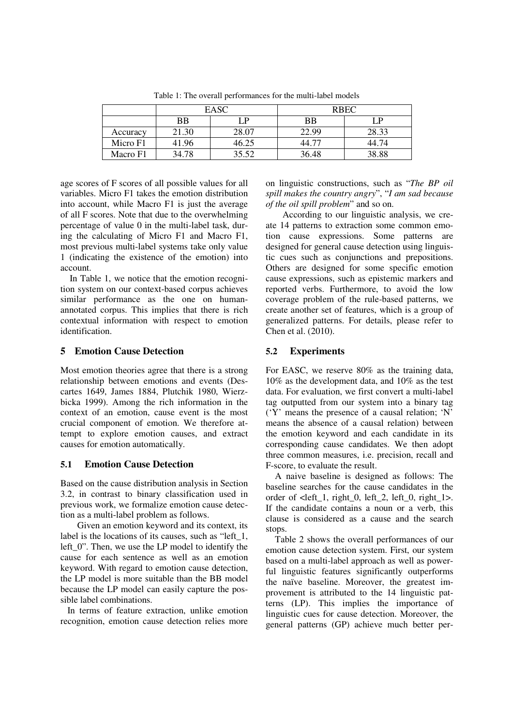|          | EASC  |       | <b>RBEC</b> |       |
|----------|-------|-------|-------------|-------|
|          | BB    | ГD    | ΒB          | IР    |
| Accuracy | 21.30 | 28.07 | 22.99       | 28.33 |
| Micro F1 | 41.96 | 46.25 | 44.77       | 44.74 |
| Macro F1 | 34.78 | 35.52 | 36.48       | 38.88 |

Table 1: The overall performances for the multi-label models

age scores of F scores of all possible values for all variables. Micro F1 takes the emotion distribution into account, while Macro F1 is just the average of all F scores. Note that due to the overwhelming percentage of value 0 in the multi-label task, during the calculating of Micro F1 and Macro F1, most previous multi-label systems take only value 1 (indicating the existence of the emotion) into account.

In Table 1, we notice that the emotion recognition system on our context-based corpus achieves similar performance as the one on humanannotated corpus. This implies that there is rich contextual information with respect to emotion identification.

#### **5 Emotion Cause Detection**

Most emotion theories agree that there is a strong relationship between emotions and events (Descartes 1649, James 1884, Plutchik 1980, Wierzbicka 1999). Among the rich information in the context of an emotion, cause event is the most crucial component of emotion. We therefore attempt to explore emotion causes, and extract causes for emotion automatically.

## **5.1 Emotion Cause Detection**

Based on the cause distribution analysis in Section 3.2, in contrast to binary classification used in previous work, we formalize emotion cause detection as a multi-label problem as follows.

Given an emotion keyword and its context, its label is the locations of its causes, such as "left 1. left\_0". Then, we use the LP model to identify the cause for each sentence as well as an emotion keyword. With regard to emotion cause detection, the LP model is more suitable than the BB model because the LP model can easily capture the possible label combinations.

 In terms of feature extraction, unlike emotion recognition, emotion cause detection relies more on linguistic constructions, such as "*The BP oil spill makes the country angry*", "*I am sad because of the oil spill problem*" and so on.

According to our linguistic analysis, we create 14 patterns to extraction some common emotion cause expressions. Some patterns are designed for general cause detection using linguistic cues such as conjunctions and prepositions. Others are designed for some specific emotion cause expressions, such as epistemic markers and reported verbs. Furthermore, to avoid the low coverage problem of the rule-based patterns, we create another set of features, which is a group of generalized patterns. For details, please refer to Chen et al. (2010).

## **5.2 Experiments**

For EASC, we reserve 80% as the training data, 10% as the development data, and 10% as the test data. For evaluation, we first convert a multi-label tag outputted from our system into a binary tag ('Y' means the presence of a causal relation; 'N' means the absence of a causal relation) between the emotion keyword and each candidate in its corresponding cause candidates. We then adopt three common measures, i.e. precision, recall and F-score, to evaluate the result.

A naive baseline is designed as follows: The baseline searches for the cause candidates in the order of  $\leq$  left 1, right 0, left 2, left 0, right 1>. If the candidate contains a noun or a verb, this clause is considered as a cause and the search stops.

Table 2 shows the overall performances of our emotion cause detection system. First, our system based on a multi-label approach as well as powerful linguistic features significantly outperforms the naïve baseline. Moreover, the greatest improvement is attributed to the 14 linguistic patterns (LP). This implies the importance of linguistic cues for cause detection. Moreover, the general patterns (GP) achieve much better per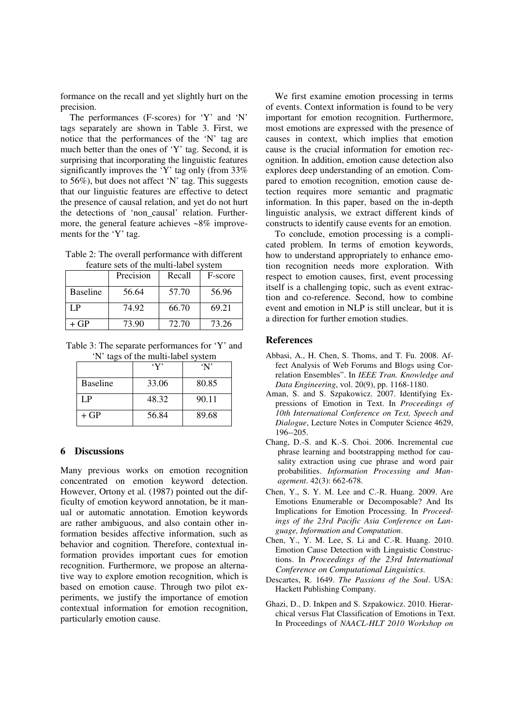formance on the recall and yet slightly hurt on the precision.

The performances (F-scores) for 'Y' and 'N' tags separately are shown in Table 3. First, we notice that the performances of the 'N' tag are much better than the ones of 'Y' tag. Second, it is surprising that incorporating the linguistic features significantly improves the 'Y' tag only (from 33% to 56%), but does not affect 'N' tag. This suggests that our linguistic features are effective to detect the presence of causal relation, and yet do not hurt the detections of 'non\_causal' relation. Furthermore, the general feature achieves ~8% improvements for the 'Y' tag.

Table 2: The overall performance with different feature sets of the multi-label system

|                 | Precision | Recall | F-score |
|-----------------|-----------|--------|---------|
| <b>Baseline</b> | 56.64     | 57.70  | 56.96   |
| LP              | 74.92     | 66.70  | 69.21   |
| + GP            | 73.90     | 72.70  | 73.26   |

Table 3: The separate performances for 'Y' and 'N' tags of the multi-label system

|                 | `Y`   | $\mathbf{N}$ |
|-----------------|-------|--------------|
| <b>Baseline</b> | 33.06 | 80.85        |
| I P             | 48.32 | 90.11        |
| $+GP$           | 56.84 | 89.68        |

#### **6 Discussions**

Many previous works on emotion recognition concentrated on emotion keyword detection. However, Ortony et al. (1987) pointed out the difficulty of emotion keyword annotation, be it manual or automatic annotation. Emotion keywords are rather ambiguous, and also contain other information besides affective information, such as behavior and cognition. Therefore, contextual information provides important cues for emotion recognition. Furthermore, we propose an alternative way to explore emotion recognition, which is based on emotion cause. Through two pilot experiments, we justify the importance of emotion contextual information for emotion recognition, particularly emotion cause.

We first examine emotion processing in terms of events. Context information is found to be very important for emotion recognition. Furthermore, most emotions are expressed with the presence of causes in context, which implies that emotion cause is the crucial information for emotion recognition. In addition, emotion cause detection also explores deep understanding of an emotion. Compared to emotion recognition, emotion cause detection requires more semantic and pragmatic information. In this paper, based on the in-depth linguistic analysis, we extract different kinds of constructs to identify cause events for an emotion.

To conclude, emotion processing is a complicated problem. In terms of emotion keywords, how to understand appropriately to enhance emotion recognition needs more exploration. With respect to emotion causes, first, event processing itself is a challenging topic, such as event extraction and co-reference. Second, how to combine event and emotion in NLP is still unclear, but it is a direction for further emotion studies.

#### **References**

- Abbasi, A., H. Chen, S. Thoms, and T. Fu. 2008. Affect Analysis of Web Forums and Blogs using Correlation Ensembles". In *IEEE Tran. Knowledge and Data Engineering*, vol. 20(9), pp. 1168-1180.
- Aman, S. and S. Szpakowicz. 2007. Identifying Expressions of Emotion in Text. In *Proceedings of 10th International Conference on Text, Speech and Dialogue*, Lecture Notes in Computer Science 4629, 196--205.
- Chang, D.-S. and K.-S. Choi. 2006. Incremental cue phrase learning and bootstrapping method for causality extraction using cue phrase and word pair probabilities. *Information Processing and Management*. 42(3): 662-678.
- Chen, Y., S. Y. M. Lee and C.-R. Huang. 2009. Are Emotions Enumerable or Decomposable? And Its Implications for Emotion Processing. In *Proceedings of the 23rd Pacific Asia Conference on Language, Information and Computation*.
- Chen, Y., Y. M. Lee, S. Li and C.-R. Huang. 2010. Emotion Cause Detection with Linguistic Constructions. In *Proceedings of the 23rd International Conference on Computational Linguistics*.
- Descartes, R. 1649. *The Passions of the Soul*. USA: Hackett Publishing Company.
- Ghazi, D., D. Inkpen and S. Szpakowicz. 2010. Hierarchical versus Flat Classification of Emotions in Text. In Proceedings of *NAACL-HLT 2010 Workshop on*